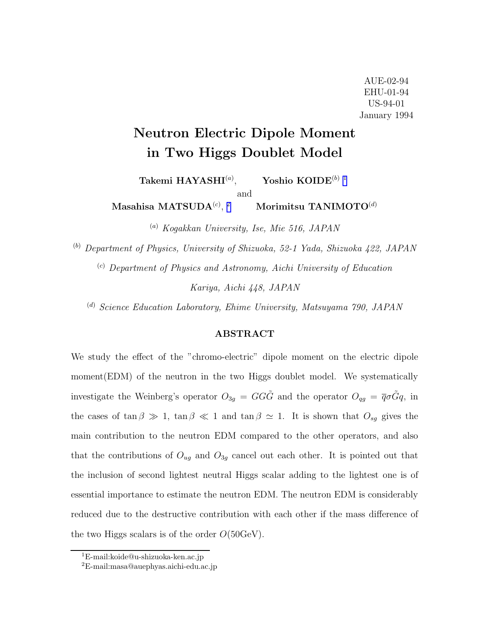# Neutron Electric Dipole Moment in Two Higgs Doublet Model

Takemi  $HAYASHI^{(a)}$ , Yoshio  $KOIDE^{(b) 1}$ 

and

 $\mathbf{Masahisa} \ \mathbf{MATSUDA}^{(c)},$ Morimitsu TANIMOTO<sup>(d)</sup>

(a) Kogakkan University, Ise, Mie 516, JAPAN

(b) Department of Physics, University of Shizuoka, 52-1 Yada, Shizuoka 422, JAPAN

(c) Department of Physics and Astronomy, Aichi University of Education

Kariya, Aichi 448, JAPAN

 $^{(d)}$  Science Education Laboratory, Ehime University, Matsuyama 790, JAPAN

### ABSTRACT

We study the effect of the "chromo-electric" dipole moment on the electric dipole moment(EDM) of the neutron in the two Higgs doublet model. We systematically investigate the Weinberg's operator  $O_{3g} = GG\tilde{G}$  and the operator  $O_{qg} = \overline{q}\sigma \tilde{G}q$ , in the cases of tan  $\beta \gg 1$ , tan  $\beta \ll 1$  and tan  $\beta \simeq 1$ . It is shown that  $O_{sg}$  gives the main contribution to the neutron EDM compared to the other operators, and also that the contributions of  $O_{ug}$  and  $O_{3g}$  cancel out each other. It is pointed out that the inclusion of second lightest neutral Higgs scalar adding to the lightest one is of essential importance to estimate the neutron EDM. The neutron EDM is considerably reduced due to the destructive contribution with each other if the mass difference of the two Higgs scalars is of the order  $O(50 \text{GeV})$ .

<sup>1</sup>E-mail:koide@u-shizuoka-ken.ac.jp

<sup>2</sup>E-mail:masa@auephyas.aichi-edu.ac.jp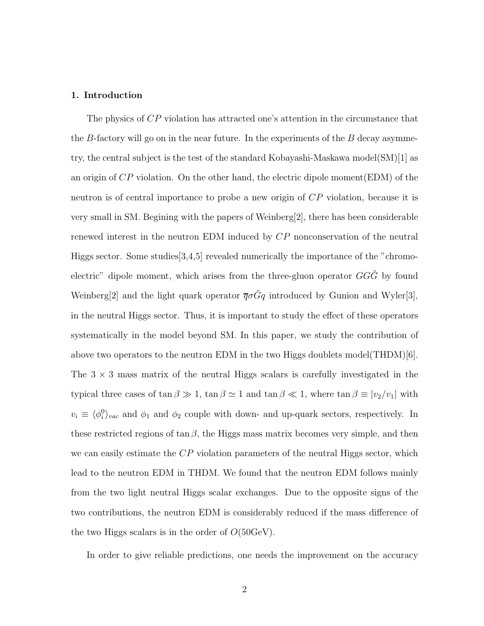#### 1. Introduction

The physics of CP violation has attracted one's attention in the circumstance that the B-factory will go on in the near future. In the experiments of the  $B$  decay asymmetry, the central subject is the test of the standard Kobayashi-Maskawa model(SM)[1] as an origin of  $CP$  violation. On the other hand, the electric dipole moment  $(EDM)$  of the neutron is of central importance to probe a new origin of CP violation, because it is very small in SM. Begining with the papers of Weinberg[2], there has been considerable renewed interest in the neutron EDM induced by CP nonconservation of the neutral Higgs sector. Some studies[3,4,5] revealed numerically the importance of the "chromoelectric" dipole moment, which arises from the three-gluon operator  $GG\tilde{G}$  by found Weinberg[2] and the light quark operator  $\overline{q}\sigma\tilde{G}q$  introduced by Gunion and Wyler[3], in the neutral Higgs sector. Thus, it is important to study the effect of these operators systematically in the model beyond SM. In this paper, we study the contribution of above two operators to the neutron EDM in the two Higgs doublets model(THDM)[6]. The  $3 \times 3$  mass matrix of the neutral Higgs scalars is carefully investigated in the typical three cases of  $\tan \beta \gg 1$ ,  $\tan \beta \simeq 1$  and  $\tan \beta \ll 1$ , where  $\tan \beta \equiv |v_2/v_1|$  with  $v_i \equiv \langle \phi_i^0 \rangle_{vac}$  and  $\phi_1$  and  $\phi_2$  couple with down- and up-quark sectors, respectively. In these restricted regions of  $\tan \beta$ , the Higgs mass matrix becomes very simple, and then we can easily estimate the CP violation parameters of the neutral Higgs sector, which lead to the neutron EDM in THDM. We found that the neutron EDM follows mainly from the two light neutral Higgs scalar exchanges. Due to the opposite signs of the two contributions, the neutron EDM is considerably reduced if the mass difference of the two Higgs scalars is in the order of  $O(50 \text{GeV})$ .

In order to give reliable predictions, one needs the improvement on the accuracy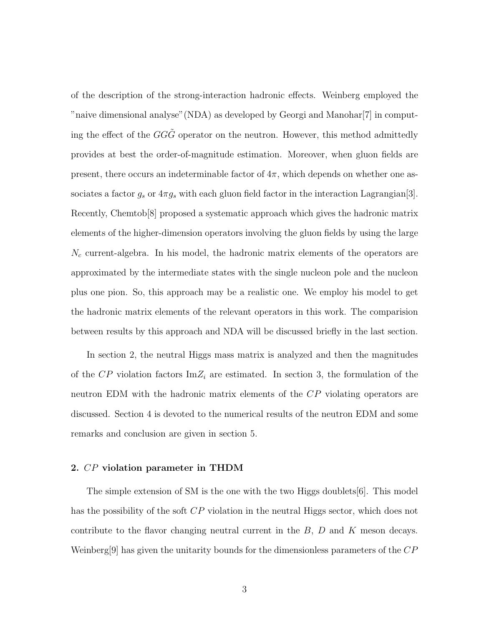of the description of the strong-interaction hadronic effects. Weinberg employed the "naive dimensional analyse"(NDA) as developed by Georgi and Manohar[7] in computing the effect of the  $GG\ddot{G}$  operator on the neutron. However, this method admittedly provides at best the order-of-magnitude estimation. Moreover, when gluon fields are present, there occurs an indeterminable factor of  $4\pi$ , which depends on whether one associates a factor  $g_s$  or  $4\pi g_s$  with each gluon field factor in the interaction Lagrangian<sup>[3]</sup>. Recently, Chemtob[8] proposed a systematic approach which gives the hadronic matrix elements of the higher-dimension operators involving the gluon fields by using the large  $N_c$  current-algebra. In his model, the hadronic matrix elements of the operators are approximated by the intermediate states with the single nucleon pole and the nucleon plus one pion. So, this approach may be a realistic one. We employ his model to get the hadronic matrix elements of the relevant operators in this work. The comparision between results by this approach and NDA will be discussed briefly in the last section.

In section 2, the neutral Higgs mass matrix is analyzed and then the magnitudes of the  $\mathbb{CP}$  violation factors Im $Z_i$  are estimated. In section 3, the formulation of the neutron EDM with the hadronic matrix elements of the CP violating operators are discussed. Section 4 is devoted to the numerical results of the neutron EDM and some remarks and conclusion are given in section 5.

### 2. CP violation parameter in THDM

The simple extension of SM is the one with the two Higgs doublets[6]. This model has the possibility of the soft CP violation in the neutral Higgs sector, which does not contribute to the flavor changing neutral current in the  $B$ ,  $D$  and  $K$  meson decays. Weinberg[9] has given the unitarity bounds for the dimensionless parameters of the  $CP$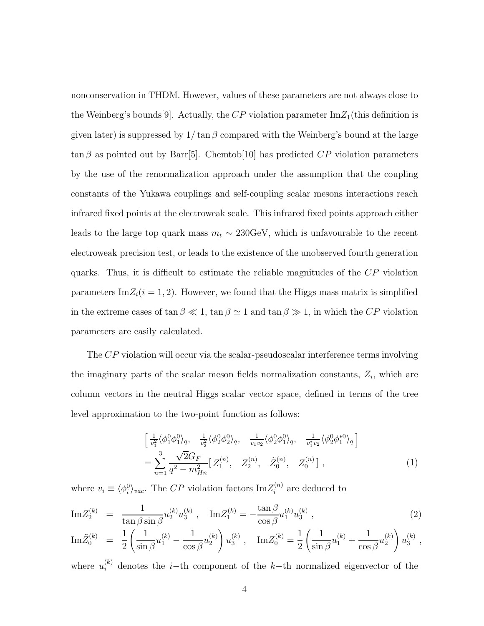nonconservation in THDM. However, values of these parameters are not always close to the Weinberg's bounds [9]. Actually, the CP violation parameter  $\text{Im}Z_1$  (this definition is given later) is suppressed by  $1/\tan \beta$  compared with the Weinberg's bound at the large  $\tan \beta$  as pointed out by Barr[5]. Chemtob[10] has predicted  $\overline{CP}$  violation parameters by the use of the renormalization approach under the assumption that the coupling constants of the Yukawa couplings and self-coupling scalar mesons interactions reach infrared fixed points at the electroweak scale. This infrared fixed points approach either leads to the large top quark mass  $m_t \sim 230 \text{GeV}$ , which is unfavourable to the recent electroweak precision test, or leads to the existence of the unobserved fourth generation quarks. Thus, it is difficult to estimate the reliable magnitudes of the CP violation parameters  $\text{Im}Z_i(i = 1, 2)$ . However, we found that the Higgs mass matrix is simplified in the extreme cases of  $\tan \beta \ll 1$ ,  $\tan \beta \simeq 1$  and  $\tan \beta \gg 1$ , in which the CP violation parameters are easily calculated.

The CP violation will occur via the scalar-pseudoscalar interference terms involving the imaginary parts of the scalar meson fields normalization constants,  $Z_i$ , which are column vectors in the neutral Higgs scalar vector space, defined in terms of the tree level approximation to the two-point function as follows:

$$
\begin{aligned}\n&\left[\frac{1}{v_1^2} \langle \phi_1^0 \phi_1^0 \rangle_q, \quad \frac{1}{v_2^2} \langle \phi_2^0 \phi_2^0 \rangle_q, \quad \frac{1}{v_1 v_2} \langle \phi_2^0 \phi_1^0 \rangle_q, \quad \frac{1}{v_1^* v_2} \langle \phi_2^0 \phi_1^{*0} \rangle_q\right] \\
&= \sum_{n=1}^3 \frac{\sqrt{2} G_F}{q^2 - m_{Hn}^2} \left[Z_1^{(n)}, \quad Z_2^{(n)}, \quad \tilde{Z}_0^{(n)}, \quad Z_0^{(n)}\right],\n\end{aligned} \tag{1}
$$

where  $v_i \equiv \langle \phi_i^0 \rangle_{vac}$ . The CP violation factors  $\text{Im} Z_i^{(n)}$  are deduced to

$$
\mathrm{Im}Z_2^{(k)} = \frac{1}{\tan \beta \sin \beta} u_2^{(k)} u_3^{(k)}, \quad \mathrm{Im}Z_1^{(k)} = -\frac{\tan \beta}{\cos \beta} u_1^{(k)} u_3^{(k)}, \tag{2}
$$

$$
\mathrm{Im}\tilde{Z}^{(k)}_0\ =\ \frac{1}{2}\left(\frac{1}{\sin\beta}u^{(k)}_1-\frac{1}{\cos\beta}u^{(k)}_2\right)u^{(k)}_3\ ,\quad \mathrm{Im}Z^{(k)}_0=\frac{1}{2}\left(\frac{1}{\sin\beta}u^{(k)}_1+\frac{1}{\cos\beta}u^{(k)}_2\right)u^{(k)}_3\ ,
$$

where  $u_i^{(k)}$  denotes the *i*-th component of the k-th normalized eigenvector of the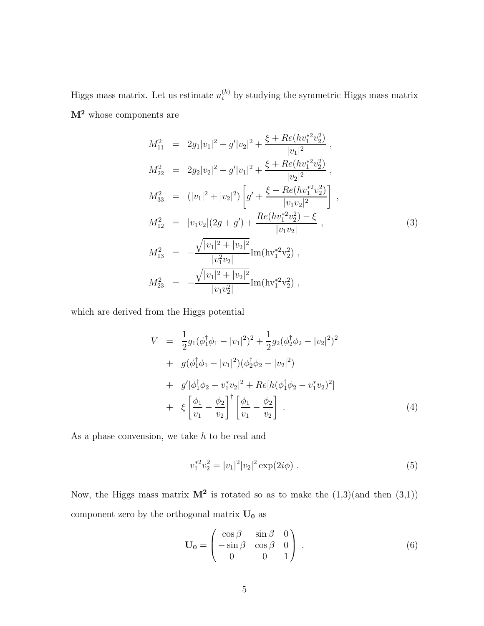Higgs mass matrix. Let us estimate  $u_i^{(k)}$  by studying the symmetric Higgs mass matrix  $\mathbf{M}^2$  whose components are

$$
M_{11}^{2} = 2g_{1}|v_{1}|^{2} + g'|v_{2}|^{2} + \frac{\xi + Re(hv_{1}^{*2}v_{2}^{2})}{|v_{1}|^{2}},
$$
  
\n
$$
M_{22}^{2} = 2g_{2}|v_{2}|^{2} + g'|v_{1}|^{2} + \frac{\xi + Re(hv_{1}^{*2}v_{2}^{2})}{|v_{2}|^{2}},
$$
  
\n
$$
M_{33}^{2} = (|v_{1}|^{2} + |v_{2}|^{2}) \left[g' + \frac{\xi - Re(hv_{1}^{*2}v_{2}^{2})}{|v_{1}v_{2}|^{2}}\right],
$$
  
\n
$$
M_{12}^{2} = |v_{1}v_{2}|(2g + g') + \frac{Re(hv_{1}^{*2}v_{2}^{2}) - \xi}{|v_{1}v_{2}|},
$$
  
\n
$$
M_{13}^{2} = -\frac{\sqrt{|v_{1}|^{2} + |v_{2}|^{2}}}{|v_{1}^{2}v_{2}|}Im(hv_{1}^{*2}v_{2}^{2}),
$$
  
\n
$$
M_{23}^{2} = -\frac{\sqrt{|v_{1}|^{2} + |v_{2}|^{2}}}{|v_{1}v_{2}^{2}|}Im(hv_{1}^{*2}v_{2}^{2}),
$$
  
\n(3)

which are derived from the Higgs potential

$$
V = \frac{1}{2}g_1(\phi_1^{\dagger}\phi_1 - |v_1|^2)^2 + \frac{1}{2}g_2(\phi_2^{\dagger}\phi_2 - |v_2|^2)^2
$$
  
+  $g(\phi_1^{\dagger}\phi_1 - |v_1|^2)(\phi_2^{\dagger}\phi_2 - |v_2|^2)$   
+  $g'|\phi_1^{\dagger}\phi_2 - v_1^*v_2|^2 + Re[h(\phi_1^{\dagger}\phi_2 - v_1^*v_2)^2]$   
+  $\xi \left[\frac{\phi_1}{v_1} - \frac{\phi_2}{v_2}\right]^{\dagger} \left[\frac{\phi_1}{v_1} - \frac{\phi_2}{v_2}\right]$  (4)

As a phase convension, we take  $h$  to be real and

$$
v_1^{*2}v_2^2 = |v_1|^2 |v_2|^2 \exp(2i\phi) . \tag{5}
$$

Now, the Higgs mass matrix  $M^2$  is rotated so as to make the  $(1,3)$  (and then  $(3,1)$ ) component zero by the orthogonal matrix  $\bf{U_0}$  as

$$
\mathbf{U_0} = \begin{pmatrix} \cos \beta & \sin \beta & 0 \\ -\sin \beta & \cos \beta & 0 \\ 0 & 0 & 1 \end{pmatrix} . \tag{6}
$$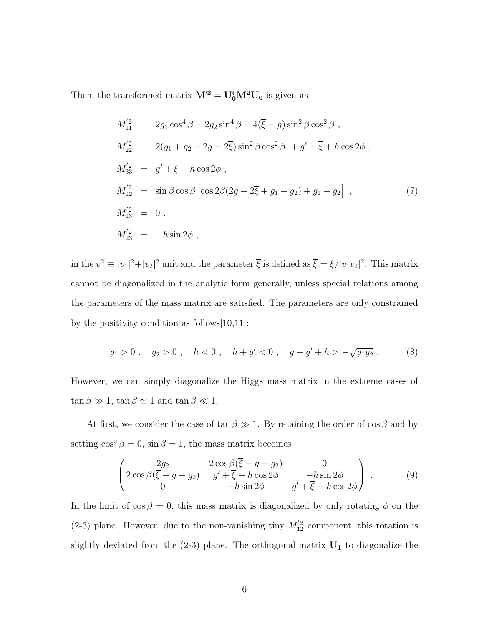Then, the transformed matrix  $M'^2 = U_0^{\dagger} M^2 U_0$  is given as

$$
M_{11}^{'2} = 2g_1 \cos^4 \beta + 2g_2 \sin^4 \beta + 4(\overline{\xi} - g) \sin^2 \beta \cos^2 \beta ,
$$
  
\n
$$
M_{22}^{'2} = 2(g_1 + g_2 + 2g - 2\overline{\xi}) \sin^2 \beta \cos^2 \beta + g' + \overline{\xi} + h \cos 2\phi ,
$$
  
\n
$$
M_{33}^{'2} = g' + \overline{\xi} - h \cos 2\phi ,
$$
  
\n
$$
M_{12}^{'2} = \sin \beta \cos \beta \left[ \cos 2\beta (2g - 2\overline{\xi} + g_1 + g_2) + g_1 - g_2 \right] ,
$$
  
\n
$$
M_{13}^{'2} = 0 ,
$$
  
\n
$$
M_{23}^{'2} = -h \sin 2\phi ,
$$
  
\n(7)

in the  $v^2 \equiv |v_1|^2 + |v_2|^2$  unit and the parameter  $\overline{\xi}$  is defined as  $\overline{\xi} = \xi/|v_1v_2|^2$ . This matrix cannot be diagonalized in the analytic form generally, unless special relations among the parameters of the mass matrix are satisfied. The parameters are only constrained by the positivity condition as follows[10,11]:

$$
g_1 > 0
$$
,  $g_2 > 0$ ,  $h < 0$ ,  $h + g' < 0$ ,  $g + g' + h > -\sqrt{g_1 g_2}$ . (8)

However, we can simply diagonalize the Higgs mass matrix in the extreme cases of  $\tan\beta\gg 1,$   $\tan\beta\simeq 1$  and  $\tan\beta\ll 1.$ 

At first, we consider the case of  $\tan \beta \gg 1$ . By retaining the order of  $\cos \beta$  and by setting  $\cos^2 \beta = 0$ ,  $\sin \beta = 1$ , the mass matrix becomes

$$
\begin{pmatrix}\n2g_2 & 2\cos\beta(\overline{\xi} - g - g_2) & 0 \\
2\cos\beta(\overline{\xi} - g - g_2) & g' + \overline{\xi} + h\cos 2\phi & -h\sin 2\phi \\
0 & -h\sin 2\phi & g' + \overline{\xi} - h\cos 2\phi\n\end{pmatrix}.
$$
\n(9)

In the limit of  $\cos \beta = 0$ , this mass matrix is diagonalized by only rotating  $\phi$  on the (2-3) plane. However, due to the non-vanishing tiny  $M'_{12}$  component, this rotation is slightly deviated from the  $(2-3)$  plane. The orthogonal matrix  $U_1$  to diagonalize the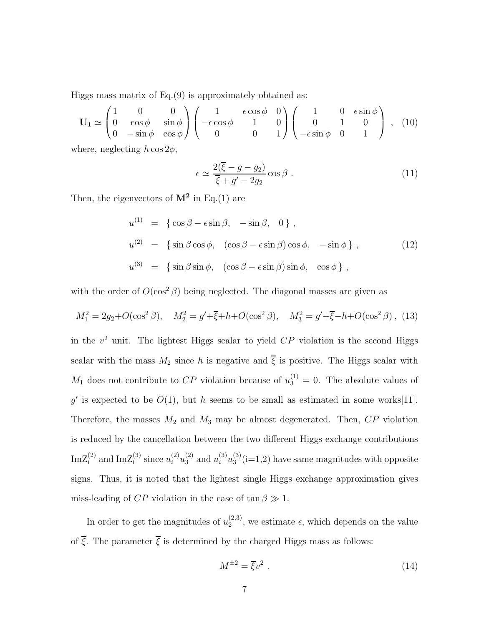Higgs mass matrix of Eq.(9) is approximately obtained as:

$$
\mathbf{U}_1 \simeq \begin{pmatrix} 1 & 0 & 0 \\ 0 & \cos \phi & \sin \phi \\ 0 & -\sin \phi & \cos \phi \end{pmatrix} \begin{pmatrix} 1 & \epsilon \cos \phi & 0 \\ -\epsilon \cos \phi & 1 & 0 \\ 0 & 0 & 1 \end{pmatrix} \begin{pmatrix} 1 & 0 & \epsilon \sin \phi \\ 0 & 1 & 0 \\ -\epsilon \sin \phi & 0 & 1 \end{pmatrix}, (10)
$$

where, neglecting  $h \cos 2\phi$ ,

$$
\epsilon \simeq \frac{2(\overline{\xi} - g - g_2)}{\overline{\xi} + g' - 2g_2} \cos \beta \,. \tag{11}
$$

Then, the eigenvectors of  $M^2$  in Eq.(1) are

$$
u^{(1)} = \{ \cos \beta - \epsilon \sin \beta, -\sin \beta, 0 \},
$$
  
\n
$$
u^{(2)} = \{ \sin \beta \cos \phi, (\cos \beta - \epsilon \sin \beta) \cos \phi, -\sin \phi \},
$$
  
\n
$$
u^{(3)} = \{ \sin \beta \sin \phi, (\cos \beta - \epsilon \sin \beta) \sin \phi, \cos \phi \},
$$
\n(12)

with the order of  $O(\cos^2 \beta)$  being neglected. The diagonal masses are given as

$$
M_1^2 = 2g_2 + O(\cos^2 \beta), \quad M_2^2 = g' + \overline{\xi} + h + O(\cos^2 \beta), \quad M_3^2 = g' + \overline{\xi} - h + O(\cos^2 \beta), \tag{13}
$$

in the  $v^2$  unit. The lightest Higgs scalar to yield  $CP$  violation is the second Higgs scalar with the mass  $M_2$  since h is negative and  $\overline{\xi}$  is positive. The Higgs scalar with  $M_1$  does not contribute to CP violation because of  $u_3^{(1)} = 0$ . The absolute values of g' is expected to be  $O(1)$ , but h seems to be small as estimated in some works [11]. Therefore, the masses  $M_2$  and  $M_3$  may be almost degenerated. Then,  $CP$  violation is reduced by the cancellation between the two different Higgs exchange contributions  $\text{ImZ}_{i}^{(2)}$  and  $\text{ImZ}_{i}^{(3)}$  since  $u_{i}^{(2)}u_{3}^{(2)}$  and  $u_{i}^{(3)}u_{3}^{(3)}$  $s_3^{(5)}$ (i=1,2) have same magnitudes with opposite signs. Thus, it is noted that the lightest single Higgs exchange approximation gives miss-leading of  $CP$  violation in the case of  $\tan \beta \gg 1$ .

In order to get the magnitudes of  $u_2^{(2,3)}$  $\binom{2,3}{2}$ , we estimate  $\epsilon$ , which depends on the value of  $\overline{\xi}$ . The parameter  $\overline{\xi}$  is determined by the charged Higgs mass as follows:

$$
M^{\pm 2} = \overline{\xi}v^2 \tag{14}
$$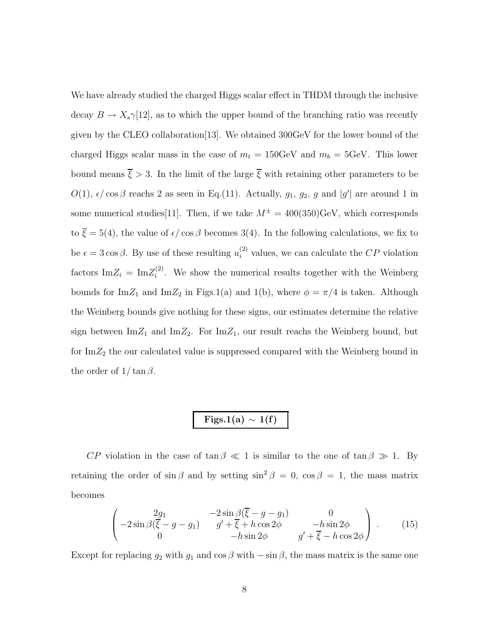We have already studied the charged Higgs scalar effect in THDM through the inclusive decay  $B \to X_s \gamma$ [12], as to which the upper bound of the branching ratio was recently given by the CLEO collaboration[13]. We obtained 300GeV for the lower bound of the charged Higgs scalar mass in the case of  $m_t = 150 \text{GeV}$  and  $m_b = 5 \text{GeV}$ . This lower bound means  $\overline{\xi} > 3$ . In the limit of the large  $\overline{\xi}$  with retaining other parameters to be  $O(1)$ ,  $\epsilon/\cos\beta$  reachs 2 as seen in Eq.(11). Actually,  $g_1$ ,  $g_2$ , g and  $|g'|$  are around 1 in some numerical studies [11]. Then, if we take  $M^{\pm} = 400(350)$  GeV, which corresponds to  $\overline{\xi} = 5(4)$ , the value of  $\epsilon / \cos \beta$  becomes 3(4). In the following calculations, we fix to be  $\epsilon = 3 \cos \beta$ . By use of these resulting  $u_i^{(2)}$  values, we can calculate the CP violation factors  $\text{Im} Z_i = \text{Im} Z_i^{(2)}$  $i^{(2)}$ . We show the numerical results together with the Weinberg bounds for  $\text{Im}Z_1$  and  $\text{Im}Z_2$  in Figs.1(a) and 1(b), where  $\phi = \pi/4$  is taken. Although the Weinberg bounds give nothing for these signs, our estimates determine the relative sign between  $\text{Im}Z_1$  and  $\text{Im}Z_2$ . For  $\text{Im}Z_1$ , our result reachs the Weinberg bound, but for  $\text{Im}Z_2$  the our calculated value is suppressed compared with the Weinberg bound in the order of  $1/\tan \beta$ .

# Figs.1(a)  $\sim 1(f)$

CP violation in the case of  $\tan \beta \ll 1$  is similar to the one of  $\tan \beta \gg 1$ . By retaining the order of sin  $\beta$  and by setting sin<sup>2</sup>  $\beta = 0$ , cos  $\beta = 1$ , the mass matrix becomes

$$
\begin{pmatrix}\n2g_1 & -2\sin\beta(\overline{\xi} - g - g_1) & 0 \\
-2\sin\beta(\overline{\xi} - g - g_1) & g' + \overline{\xi} + h\cos 2\phi & -h\sin 2\phi \\
0 & -h\sin 2\phi & g' + \overline{\xi} - h\cos 2\phi\n\end{pmatrix}.
$$
\n(15)

Except for replacing  $g_2$  with  $g_1$  and  $\cos \beta$  with  $-\sin \beta$ , the mass matrix is the same one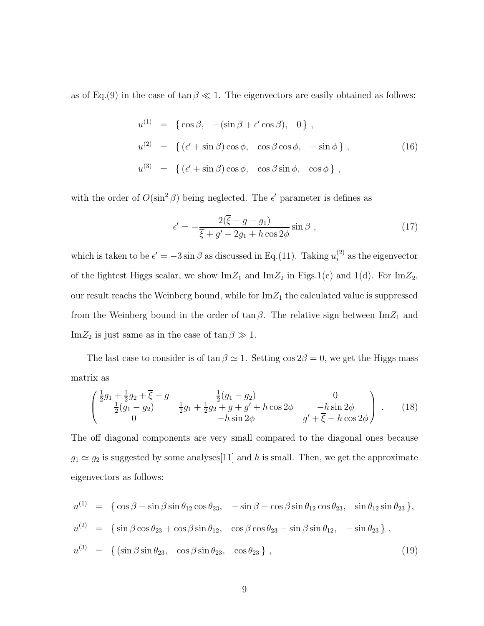as of Eq.(9) in the case of  $\tan \beta \ll 1$ . The eigenvectors are easily obtained as follows:

$$
u^{(1)} = \{ \cos \beta, -(\sin \beta + \epsilon' \cos \beta), 0 \},
$$
  
\n
$$
u^{(2)} = \{ (\epsilon' + \sin \beta) \cos \phi, \cos \beta \cos \phi, -\sin \phi \},
$$
  
\n
$$
u^{(3)} = \{ (\epsilon' + \sin \beta) \cos \phi, \cos \beta \sin \phi, \cos \phi \},
$$
\n(16)

with the order of  $O(\sin^2 \beta)$  being neglected. The  $\epsilon'$  parameter is defines as

$$
\epsilon' = -\frac{2(\overline{\xi} - g - g_1)}{\overline{\xi} + g' - 2g_1 + h \cos 2\phi} \sin \beta ,
$$
\n(17)

which is taken to be  $\epsilon' = -3 \sin \beta$  as discussed in Eq.(11). Taking  $u_i^{(2)}$  as the eigenvector of the lightest Higgs scalar, we show  $\text{Im}Z_1$  and  $\text{Im}Z_2$  in Figs.1(c) and 1(d). For  $\text{Im}Z_2$ , our result reachs the Weinberg bound, while for  $\text{Im}Z_1$  the calculated value is suppressed from the Weinberg bound in the order of  $\tan \beta$ . The relative sign between  $\text{Im} Z_1$  and Im $Z_2$  is just same as in the case of  $\tan \beta \gg 1$ .

The last case to consider is of  $\tan \beta \simeq 1$ . Setting  $\cos 2\beta = 0$ , we get the Higgs mass matrix as

$$
\begin{pmatrix} \frac{1}{2}g_1 + \frac{1}{2}g_2 + \overline{\xi} - g & \frac{1}{2}(g_1 - g_2) & 0\\ \frac{1}{2}(g_1 - g_2) & \frac{1}{2}g_1 + \frac{1}{2}g_2 + g + g' + h\cos 2\phi & -h\sin 2\phi\\ 0 & -h\sin 2\phi & g' + \overline{\xi} - h\cos 2\phi \end{pmatrix} .
$$
 (18)

The off diagonal components are very small compared to the diagonal ones because  $g_1 \simeq g_2$  is suggested by some analyses[11] and h is small. Then, we get the approximate eigenvectors as follows:

$$
u^{(1)} = \{ \cos \beta - \sin \beta \sin \theta_{12} \cos \theta_{23}, -\sin \beta - \cos \beta \sin \theta_{12} \cos \theta_{23}, \sin \theta_{12} \sin \theta_{23} \},
$$
  
\n
$$
u^{(2)} = \{ \sin \beta \cos \theta_{23} + \cos \beta \sin \theta_{12}, \cos \beta \cos \theta_{23} - \sin \beta \sin \theta_{12}, -\sin \theta_{23} \},
$$
  
\n
$$
u^{(3)} = \{ (\sin \beta \sin \theta_{23}, \cos \beta \sin \theta_{23}, \cos \theta_{23} \},
$$
  
\n(19)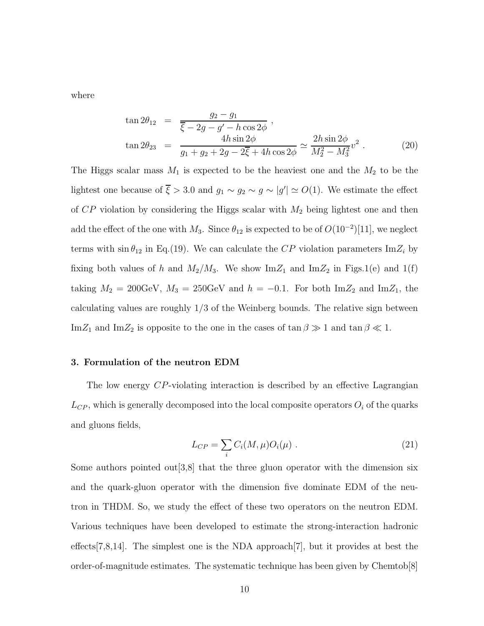where

$$
\tan 2\theta_{12} = \frac{g_2 - g_1}{\bar{\xi} - 2g - g' - h\cos 2\phi},
$$
  
\n
$$
\tan 2\theta_{23} = \frac{4h\sin 2\phi}{g_1 + g_2 + 2g - 2\bar{\xi} + 4h\cos 2\phi} \simeq \frac{2h\sin 2\phi}{M_2^2 - M_3^2}v^2.
$$
\n(20)

The Higgs scalar mass  $M_1$  is expected to be the heaviest one and the  $M_2$  to be the lightest one because of  $\overline{\xi} > 3.0$  and  $g_1 \sim g_2 \sim g \sim |g'| \simeq O(1)$ . We estimate the effect of  $CP$  violation by considering the Higgs scalar with  $M_2$  being lightest one and then add the effect of the one with  $M_3$ . Since  $\theta_{12}$  is expected to be of  $O(10^{-2})[11]$ , we neglect terms with  $\sin \theta_{12}$  in Eq.(19). We can calculate the CP violation parameters Im $Z_i$  by fixing both values of h and  $M_2/M_3$ . We show  $\text{Im}Z_1$  and  $\text{Im}Z_2$  in Figs.1(e) and 1(f) taking  $M_2 = 200 \text{GeV}$ ,  $M_3 = 250 \text{GeV}$  and  $h = -0.1$ . For both  $\text{Im} Z_2$  and  $\text{Im} Z_1$ , the calculating values are roughly 1/3 of the Weinberg bounds. The relative sign between Im $Z_1$  and Im $Z_2$  is opposite to the one in the cases of  $\tan \beta \gg 1$  and  $\tan \beta \ll 1$ .

#### 3. Formulation of the neutron EDM

The low energy CP-violating interaction is described by an effective Lagrangian  $L_{CP}$ , which is generally decomposed into the local composite operators  $O_i$  of the quarks and gluons fields,

$$
L_{CP} = \sum_{i} C_i(M, \mu) O_i(\mu) . \qquad (21)
$$

Some authors pointed out  $3,8$  that the three gluon operator with the dimension six and the quark-gluon operator with the dimension five dominate EDM of the neutron in THDM. So, we study the effect of these two operators on the neutron EDM. Various techniques have been developed to estimate the strong-interaction hadronic effects[7,8,14]. The simplest one is the NDA approach[7], but it provides at best the order-of-magnitude estimates. The systematic technique has been given by Chemtob[8]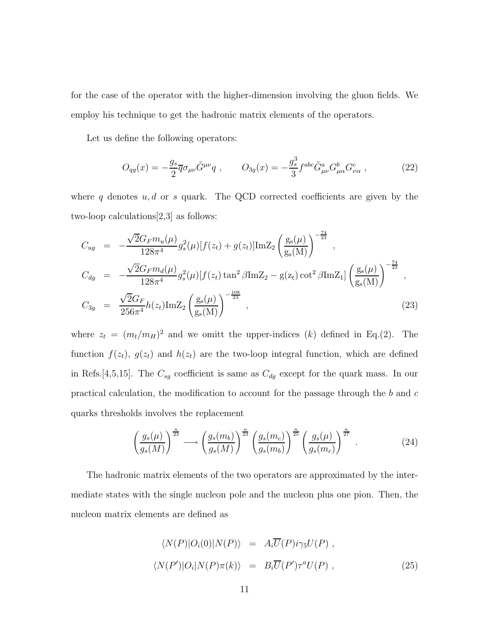for the case of the operator with the higher-dimension involving the gluon fields. We employ his technique to get the hadronic matrix elements of the operators.

Let us define the following operators:

$$
O_{qg}(x) = -\frac{g_s}{2}\overline{q}\sigma_{\mu\nu}\tilde{G}^{\mu\nu}q \ , \qquad O_{3g}(x) = -\frac{g_s^3}{3}f^{abc}\tilde{G}^a_{\mu\nu}G^b_{\mu\alpha}G^c_{\nu\alpha} \ , \tag{22}
$$

where q denotes  $u, d$  or s quark. The QCD corrected coefficients are given by the two-loop calculations[2,3] as follows:

$$
C_{ug} = -\frac{\sqrt{2}G_F m_u(\mu)}{128\pi^4} g_s^2(\mu) [f(z_t) + g(z_t)] \text{Im} Z_2 \left(\frac{g_s(\mu)}{g_s(M)}\right)^{-\frac{74}{23}},
$$
  
\n
$$
C_{dg} = -\frac{\sqrt{2}G_F m_d(\mu)}{128\pi^4} g_s^2(\mu) [f(z_t) \tan^2 \beta \text{Im} Z_2 - g(z_t) \cot^2 \beta \text{Im} Z_1] \left(\frac{g_s(\mu)}{g_s(M)}\right)^{-\frac{74}{23}},
$$
  
\n
$$
C_{3g} = \frac{\sqrt{2}G_F}{256\pi^4} h(z_t) \text{Im} Z_2 \left(\frac{g_s(\mu)}{g_s(M)}\right)^{-\frac{108}{23}},
$$
\n(23)

where  $z_t = (m_t/m_H)^2$  and we omitt the upper-indices (k) defined in Eq.(2). The function  $f(z_t)$ ,  $g(z_t)$  and  $h(z_t)$  are the two-loop integral function, which are defined in Refs.[4,5,15]. The  $C_{sg}$  coefficient is same as  $C_{dg}$  except for the quark mass. In our practical calculation, the modification to account for the passage through the b and  $c$ quarks thresholds involves the replacement

$$
\left(\frac{g_s(\mu)}{g_s(M)}\right)^{\frac{n}{23}} \longrightarrow \left(\frac{g_s(m_b)}{g_s(M)}\right)^{\frac{n}{23}} \left(\frac{g_s(m_c)}{g_s(m_b)}\right)^{\frac{n}{25}} \left(\frac{g_s(\mu)}{g_s(m_c)}\right)^{\frac{n}{27}} . \tag{24}
$$

The hadronic matrix elements of the two operators are approximated by the intermediate states with the single nucleon pole and the nucleon plus one pion. Then, the nucleon matrix elements are defined as

$$
\langle N(P)|O_i(0)|N(P)\rangle = A_i \overline{U}(P)i\gamma_5 U(P) ,
$$
  

$$
\langle N(P')|O_i|N(P)\pi(k)\rangle = B_i \overline{U}(P')\tau^a U(P) ,
$$
 (25)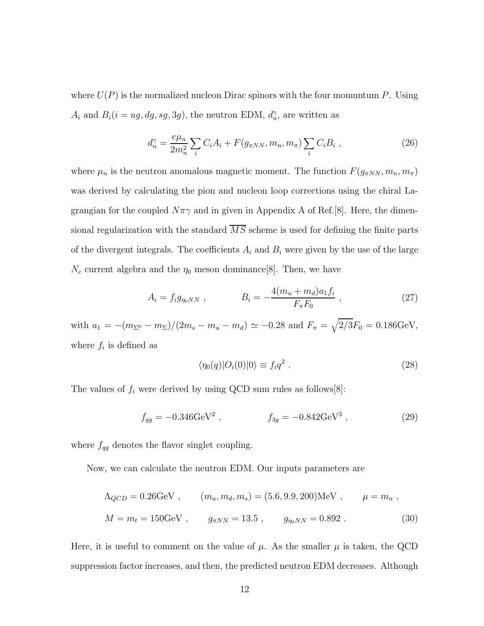where  $U(P)$  is the normalized nucleon Dirac spinors with the four momuntum P. Using  $A_i$  and  $B_i(i = ug, dg, sg, 3g)$ , the neutron EDM,  $d_n^{\gamma}$ , are written as

$$
d_n^{\gamma} = \frac{e\mu_n}{2m_n^2} \sum_i C_i A_i + F(g_{\pi NN}, m_n, m_{\pi}) \sum_i C_i B_i , \qquad (26)
$$

where  $\mu_n$  is the neutron anomalous magnetic moment. The function  $F(g_{\pi NN}, m_n, m_\pi)$ was derived by calculating the pion and nucleon loop corrections using the chiral Lagrangian for the coupled  $N\pi\gamma$  and in given in Appendix A of Ref.[8]. Here, the dimensional regularization with the standard  $\overline{MS}$  scheme is used for defining the finite parts of the divergent integrals. The coefficients  $A_i$  and  $B_i$  were given by the use of the large  $N_c$  current algebra and the  $\eta_0$  meson dominance [8]. Then, we have

$$
A_i = f_i g_{\eta_0 NN} , \qquad B_i = -\frac{4(m_u + m_d) a_1 f_i}{F_{\pi} F_0} , \qquad (27)
$$

with  $a_1 = -(m_{\Sigma^0} - m_{\Sigma})/(2m_s - m_u - m_d) \simeq -0.28$  and  $F_{\pi} = \sqrt{2/3}F_0 = 0.186 \text{GeV}$ , where  $f_i$  is defined as

$$
\langle \eta_0(q)|O_i(0)|0\rangle \equiv f_i q^2 . \qquad (28)
$$

The values of  $f_i$  were derived by using QCD sum rules as follows[8]:

$$
f_{qg} = -0.346 \text{GeV}^2 \ , \qquad f_{3g} = -0.842 \text{GeV}^3 \ , \tag{29}
$$

where  $f_{qg}$  denotes the flavor singlet coupling.

Now, we can calculate the neutron EDM. Our inputs parameters are

$$
\Lambda_{QCD} = 0.26 \text{GeV}
$$
,  $(m_u, m_d, m_s) = (5.6, 9.9, 200) \text{MeV}$ ,  $\mu = m_n$ ,  
\n $M = m_t = 150 \text{GeV}$ ,  $g_{\pi NN} = 13.5$ ,  $g_{\eta_0 NN} = 0.892$ . (30)

Here, it is useful to comment on the value of  $\mu$ . As the smaller  $\mu$  is taken, the QCD suppression factor increases, and then, the predicted neutron EDM decreases. Although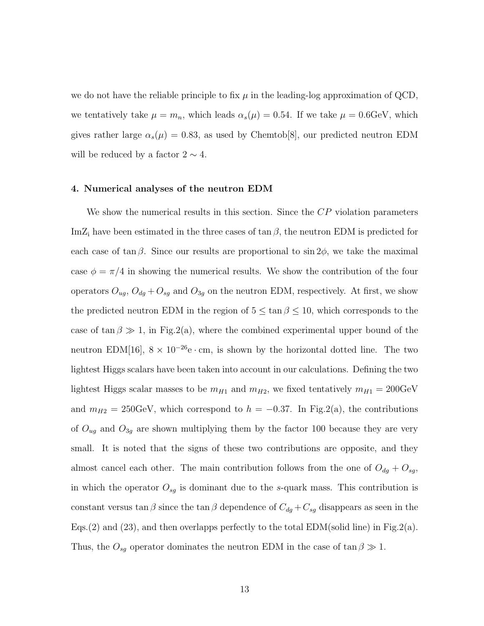we do not have the reliable principle to fix  $\mu$  in the leading-log approximation of QCD, we tentatively take  $\mu = m_n$ , which leads  $\alpha_s(\mu) = 0.54$ . If we take  $\mu = 0.6 \text{GeV}$ , which gives rather large  $\alpha_s(\mu) = 0.83$ , as used by Chemtob[8], our predicted neutron EDM will be reduced by a factor  $2 \sim 4$ .

#### 4. Numerical analyses of the neutron EDM

We show the numerical results in this section. Since the CP violation parameters ImZ<sub>i</sub> have been estimated in the three cases of tan  $\beta$ , the neutron EDM is predicted for each case of tan  $\beta$ . Since our results are proportional to sin 2 $\phi$ , we take the maximal case  $\phi = \pi/4$  in showing the numerical results. We show the contribution of the four operators  $O_{ug}$ ,  $O_{dg} + O_{sg}$  and  $O_{3g}$  on the neutron EDM, respectively. At first, we show the predicted neutron EDM in the region of  $5 \le \tan \beta \le 10$ , which corresponds to the case of tan  $\beta \gg 1$ , in Fig.2(a), where the combined experimental upper bound of the neutron EDM[16],  $8 \times 10^{-26}$ e $\cdot$  cm, is shown by the horizontal dotted line. The two lightest Higgs scalars have been taken into account in our calculations. Defining the two lightest Higgs scalar masses to be  $m_{H1}$  and  $m_{H2}$ , we fixed tentatively  $m_{H1} = 200 \text{GeV}$ and  $m_{H2} = 250 \text{GeV}$ , which correspond to  $h = -0.37$ . In Fig.2(a), the contributions of  $O_{ug}$  and  $O_{3g}$  are shown multiplying them by the factor 100 because they are very small. It is noted that the signs of these two contributions are opposite, and they almost cancel each other. The main contribution follows from the one of  $O_{dg} + O_{sg}$ , in which the operator  $O_{sg}$  is dominant due to the s-quark mass. This contribution is constant versus tan  $\beta$  since the tan  $\beta$  dependence of  $C_{dg} + C_{sg}$  disappears as seen in the Eqs.(2) and (23), and then overlapps perfectly to the total EDM(solid line) in Fig.2(a). Thus, the  $O_{sg}$  operator dominates the neutron EDM in the case of  $\tan \beta \gg 1$ .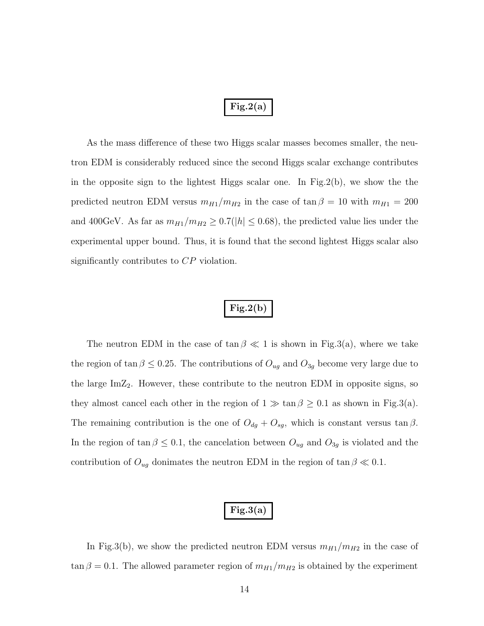## $Fig.2(a)$

As the mass difference of these two Higgs scalar masses becomes smaller, the neutron EDM is considerably reduced since the second Higgs scalar exchange contributes in the opposite sign to the lightest Higgs scalar one. In Fig.2(b), we show the the predicted neutron EDM versus  $m_{H1}/m_{H2}$  in the case of  $\tan \beta = 10$  with  $m_{H1} = 200$ and 400GeV. As far as  $m_{H1}/m_{H2} \geq 0.7(|h| \leq 0.68)$ , the predicted value lies under the experimental upper bound. Thus, it is found that the second lightest Higgs scalar also significantly contributes to  $\mathbb{CP}$  violation.

### $Fig.2(b)$

The neutron EDM in the case of  $\tan \beta \ll 1$  is shown in Fig.3(a), where we take the region of tan  $\beta \leq 0.25$ . The contributions of  $O_{ug}$  and  $O_{3g}$  become very large due to the large  $\text{Im}Z_2$ . However, these contribute to the neutron EDM in opposite signs, so they almost cancel each other in the region of  $1 \gg \tan \beta \geq 0.1$  as shown in Fig.3(a). The remaining contribution is the one of  $O_{dg} + O_{sg}$ , which is constant versus tan  $\beta$ . In the region of tan  $\beta \leq 0.1$ , the cancelation between  $O_{ug}$  and  $O_{3g}$  is violated and the contribution of  $O_{ug}$  donimates the neutron EDM in the region of  $\tan \beta \ll 0.1$ .

### $Fig.3(a)$

In Fig.3(b), we show the predicted neutron EDM versus  $m_{H1}/m_{H2}$  in the case of  $\tan \beta = 0.1$ . The allowed parameter region of  $m_{H1}/m_{H2}$  is obtained by the experiment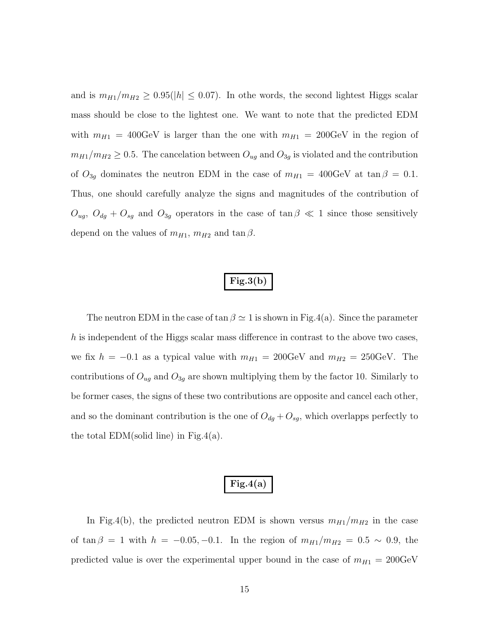and is  $m_{H1}/m_{H2} \geq 0.95(|h| \leq 0.07)$ . In othe words, the second lightest Higgs scalar mass should be close to the lightest one. We want to note that the predicted EDM with  $m_{H1} = 400 \text{GeV}$  is larger than the one with  $m_{H1} = 200 \text{GeV}$  in the region of  $m_{H1}/m_{H2} \geq 0.5$ . The cancelation between  $O_{ug}$  and  $O_{3g}$  is violated and the contribution of  $O_{3g}$  dominates the neutron EDM in the case of  $m_{H1} = 400 \text{GeV}$  at  $\tan \beta = 0.1$ . Thus, one should carefully analyze the signs and magnitudes of the contribution of  $O_{ug}, O_{dg} + O_{sg}$  and  $O_{3g}$  operators in the case of  $\tan \beta \ll 1$  since those sensitively depend on the values of  $m_{H1}, m_{H2}$  and  $\tan \beta$ .

## $Fig.3(b)$

The neutron EDM in the case of tan  $\beta \simeq 1$  is shown in Fig.4(a). Since the parameter h is independent of the Higgs scalar mass difference in contrast to the above two cases, we fix  $h = -0.1$  as a typical value with  $m_{H1} = 200 \text{GeV}$  and  $m_{H2} = 250 \text{GeV}$ . The contributions of  $O_{ug}$  and  $O_{3g}$  are shown multiplying them by the factor 10. Similarly to be former cases, the signs of these two contributions are opposite and cancel each other, and so the dominant contribution is the one of  $O_{dg} + O_{sg}$ , which overlapps perfectly to the total  $EDM(\text{solid line})$  in Fig.4(a).

### $Fig.4(a)$

In Fig.4(b), the predicted neutron EDM is shown versus  $m_{H1}/m_{H2}$  in the case of tan  $\beta = 1$  with  $h = -0.05, -0.1$ . In the region of  $m_{H1}/m_{H2} = 0.5 \sim 0.9$ , the predicted value is over the experimental upper bound in the case of  $m_{H1} = 200 \text{GeV}$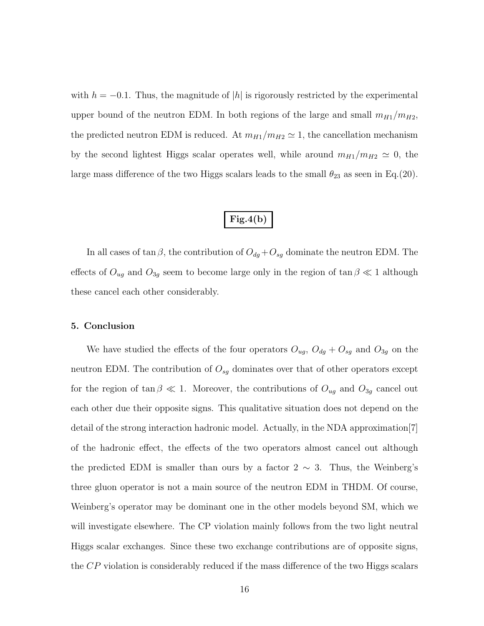with  $h = -0.1$ . Thus, the magnitude of |h| is rigorously restricted by the experimental upper bound of the neutron EDM. In both regions of the large and small  $m_{H1}/m_{H2}$ , the predicted neutron EDM is reduced. At  $m_{H1}/m_{H2} \simeq 1$ , the cancellation mechanism by the second lightest Higgs scalar operates well, while around  $m_{H1}/m_{H2} \simeq 0$ , the large mass difference of the two Higgs scalars leads to the small  $\theta_{23}$  as seen in Eq.(20).

## $Fig.4(b)$

In all cases of tan  $\beta$ , the contribution of  $O_{dg} + O_{sg}$  dominate the neutron EDM. The effects of  $O_{ug}$  and  $O_{3g}$  seem to become large only in the region of tan  $\beta \ll 1$  although these cancel each other considerably.

#### 5. Conclusion

We have studied the effects of the four operators  $O_{ug}$ ,  $O_{dg} + O_{sg}$  and  $O_{3g}$  on the neutron EDM. The contribution of  $O_{sg}$  dominates over that of other operators except for the region of tan  $\beta \ll 1$ . Moreover, the contributions of  $O_{ug}$  and  $O_{3g}$  cancel out each other due their opposite signs. This qualitative situation does not depend on the detail of the strong interaction hadronic model. Actually, in the NDA approximation[7] of the hadronic effect, the effects of the two operators almost cancel out although the predicted EDM is smaller than ours by a factor  $2 \sim 3$ . Thus, the Weinberg's three gluon operator is not a main source of the neutron EDM in THDM. Of course, Weinberg's operator may be dominant one in the other models beyond SM, which we will investigate elsewhere. The CP violation mainly follows from the two light neutral Higgs scalar exchanges. Since these two exchange contributions are of opposite signs, the CP violation is considerably reduced if the mass difference of the two Higgs scalars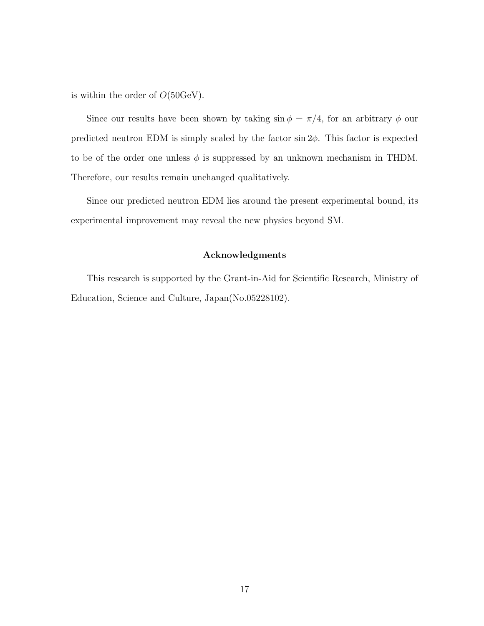is within the order of  $O(50 \text{GeV})$ .

Since our results have been shown by taking  $\sin \phi = \pi/4$ , for an arbitrary  $\phi$  our predicted neutron EDM is simply scaled by the factor  $\sin 2\phi$ . This factor is expected to be of the order one unless  $\phi$  is suppressed by an unknown mechanism in THDM. Therefore, our results remain unchanged qualitatively.

Since our predicted neutron EDM lies around the present experimental bound, its experimental improvement may reveal the new physics beyond SM.

#### Acknowledgments

This research is supported by the Grant-in-Aid for Scientific Research, Ministry of Education, Science and Culture, Japan(No.05228102).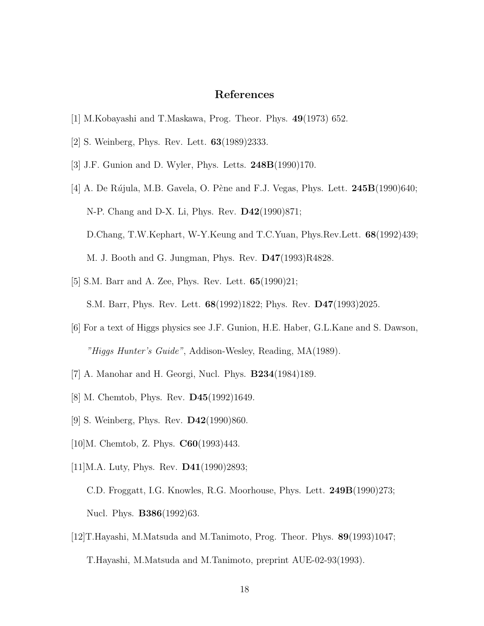### References

- [1] M.Kobayashi and T.Maskawa, Prog. Theor. Phys. 49(1973) 652.
- [2] S. Weinberg, Phys. Rev. Lett. 63(1989)2333.
- [3] J.F. Gunion and D. Wyler, Phys. Letts. 248B(1990)170.
- [4] A. De Rújula, M.B. Gavela, O. Pène and F.J. Vegas, Phys. Lett.  $245B(1990)640$ ; N-P. Chang and D-X. Li, Phys. Rev. D42(1990)871; D.Chang, T.W.Kephart, W-Y.Keung and T.C.Yuan, Phys.Rev.Lett. 68(1992)439; M. J. Booth and G. Jungman, Phys. Rev. D47(1993)R4828.
- [5] S.M. Barr and A. Zee, Phys. Rev. Lett. 65(1990)21; S.M. Barr, Phys. Rev. Lett. 68(1992)1822; Phys. Rev. D47(1993)2025.
- [6] For a text of Higgs physics see J.F. Gunion, H.E. Haber, G.L.Kane and S. Dawson, "Higgs Hunter's Guide", Addison-Wesley, Reading, MA(1989).
- [7] A. Manohar and H. Georgi, Nucl. Phys. B234(1984)189.
- [8] M. Chemtob, Phys. Rev. **D45**(1992)1649.
- [9] S. Weinberg, Phys. Rev. **D42**(1990)860.
- [10]M. Chemtob, Z. Phys. **C60**(1993)443.
- [11]M.A. Luty, Phys. Rev. **D41**(1990)2893;
	- C.D. Froggatt, I.G. Knowles, R.G. Moorhouse, Phys. Lett. 249B(1990)273; Nucl. Phys. B386(1992)63.
- [12]T.Hayashi, M.Matsuda and M.Tanimoto, Prog. Theor. Phys. 89(1993)1047; T.Hayashi, M.Matsuda and M.Tanimoto, preprint AUE-02-93(1993).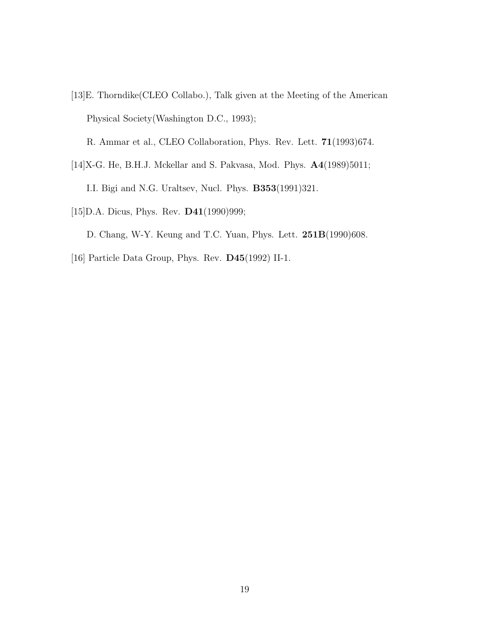[13]E. Thorndike(CLEO Collabo.), Talk given at the Meeting of the American Physical Society(Washington D.C., 1993);

R. Ammar et al., CLEO Collaboration, Phys. Rev. Lett. 71(1993)674.

[14]X-G. He, B.H.J. Mckellar and S. Pakvasa, Mod. Phys.  $\mathbf{A4}(1989)5011;$ 

I.I. Bigi and N.G. Uraltsev, Nucl. Phys. B353(1991)321.

[15] D.A. Dicus, Phys. Rev. **D41**(1990) 999;

D. Chang, W-Y. Keung and T.C. Yuan, Phys. Lett. 251B(1990)608.

[16] Particle Data Group, Phys. Rev. D45(1992) II-1.